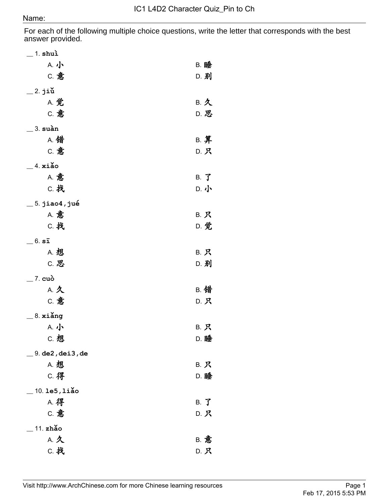For each of the following multiple choice questions, write the letter that corresponds with the best answer provided.

| $\_$ 1. shuì                                |                |
|---------------------------------------------|----------------|
| A. 小                                        | <b>B. 睡</b>    |
| C. 意                                        | D. 别           |
| $\_$ 2. jiǔ                                 |                |
| A. 觉                                        | B. 久           |
| C. 意                                        | D. 思           |
| $=$ 3. suàn                                 |                |
| A. 错                                        | B. 算           |
| C. 意                                        | D. 只           |
| $-4. xi$ ăo                                 |                |
| <b>A. 意</b>                                 | $B.$ $\vec{J}$ |
| C. 找                                        | D. 小           |
| $\_$ 5. jiao4, jué                          |                |
| <b>A. 意</b>                                 | B. 只           |
| C. 找                                        | D. 觉           |
| $=$ $6.$ $s\bar{1}$                         |                |
| A. 想                                        | B. 只           |
| C. 思                                        | D. 别           |
| $=$ 7. cuò                                  |                |
| A. 久                                        | B. 错           |
| C. 意                                        | D. 只           |
|                                             |                |
| $-8.$ xiǎng<br>A. 小                         | B. 只           |
| c. 想                                        | D. 睡           |
|                                             |                |
| $= 9.$ de $2$ , dei $3$ , de<br><b>A. 想</b> |                |
| <b>C. 得</b>                                 | B. 只<br>D. 睡   |
|                                             |                |
| 10. 1e5, 1iǎo                               |                |
| <b>A. 得</b><br>C. 意                         | B. J           |
|                                             | D. 只           |
| 11. zhǎo                                    |                |
| A. 久                                        | <b>B. 意</b>    |
| <b>C. 找</b>                                 | D. 只           |